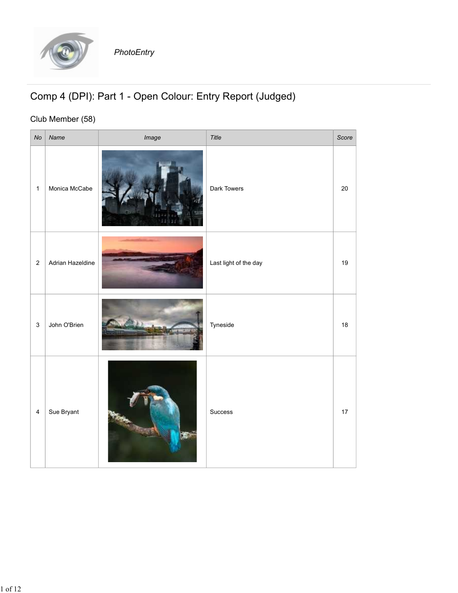

## Comp 4 (DPI): Part 1 - Open Colour: Entry Report (Judged)

## Club Member (58)

|                                                           |                  | PhotoEntry |                       |    |
|-----------------------------------------------------------|------------------|------------|-----------------------|----|
| Comp 4 (DPI): Part 1 - Open Colour: Entry Report (Judged) |                  |            |                       |    |
| Club Member (58)<br>Title<br>Score<br>No<br>Name<br>Image |                  |            |                       |    |
| $\mathbf{1}$                                              | Monica McCabe    |            | Dark Towers           | 20 |
| $\overline{a}$                                            | Adrian Hazeldine |            | Last light of the day | 19 |
| $\mathbf{3}$                                              | John O'Brien     |            | Tyneside              | 18 |
| $\overline{4}$                                            | Sue Bryant       |            | Success               | 17 |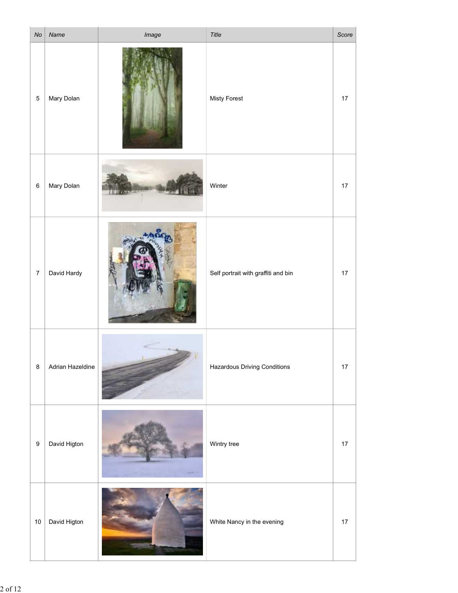|         |                | $No$ Name        | Image  | Title                               | Score |
|---------|----------------|------------------|--------|-------------------------------------|-------|
|         | $5 \mid$       | Mary Dolan       |        | Misty Forest                        | 17    |
|         | $6 \mid$       | Mary Dolan       | $-1.5$ | Winter                              | 17    |
|         | $\overline{7}$ | David Hardy      |        | Self portrait with graffiti and bin | 17    |
| $\bf 8$ |                | Adrian Hazeldine |        | Hazardous Driving Conditions        | 17    |
| $9\,$   |                | David Higton     |        | Wintry tree                         | $17$  |
|         | 10             | David Higton     |        | White Nancy in the evening          | 17    |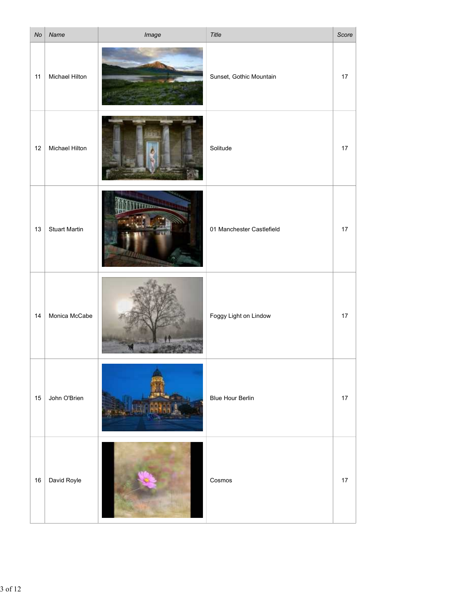|    | $No$ Name             | Image | Title                     | Score |
|----|-----------------------|-------|---------------------------|-------|
| 11 | Michael Hilton        |       | Sunset, Gothic Mountain   | 17    |
| 12 | <b>Michael Hilton</b> |       | Solitude                  | 17    |
| 13 | <b>Stuart Martin</b>  |       | 01 Manchester Castlefield | 17    |
| 14 | Monica McCabe         |       | Foggy Light on Lindow     | 17    |
| 15 | John O'Brien          |       | <b>Blue Hour Berlin</b>   | 17    |
|    | 16   David Royle      |       | Cosmos                    | 17    |
|    |                       |       |                           |       |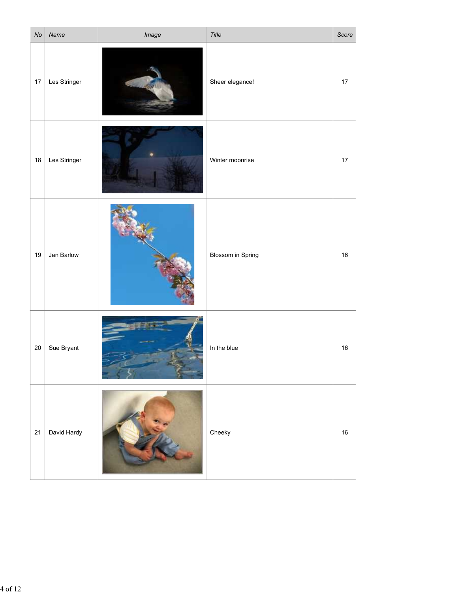|    | $No$ Name    | Image | Title             | Score  |
|----|--------------|-------|-------------------|--------|
| 17 | Les Stringer |       | Sheer elegance!   | 17     |
| 18 | Les Stringer |       | Winter moonrise   | 17     |
| 19 | Jan Barlow   |       | Blossom in Spring | $16\,$ |
| 20 | Sue Bryant   |       | In the blue       | $16\,$ |
| 21 | David Hardy  |       | Cheeky            | $16\,$ |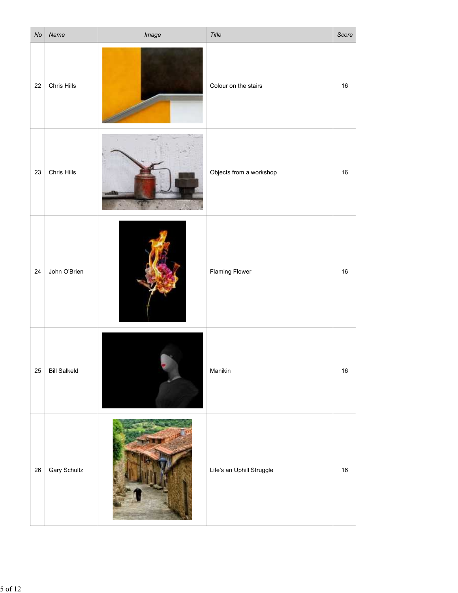|    | $No$ Name           | Image                      | Title                     | Score  |
|----|---------------------|----------------------------|---------------------------|--------|
| 22 | Chris Hills         |                            | Colour on the stairs      | 16     |
|    | $23$ Chris Hills    |                            | Objects from a workshop   | 16     |
| 24 | John O'Brien        |                            | <b>Flaming Flower</b>     | $16\,$ |
| 25 | <b>Bill Salkeld</b> |                            | Manikin                   | $16\,$ |
| 26 | <b>Gary Schultz</b> | <b>Burney Constitution</b> | Life's an Uphill Struggle | 16     |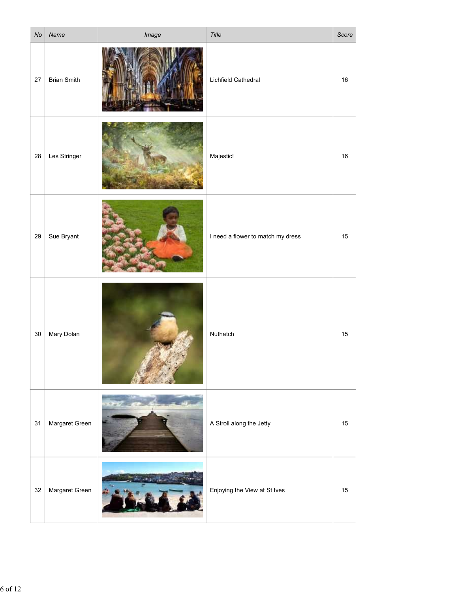| No<br>Name               | Image                                                       |                                   | Score |
|--------------------------|-------------------------------------------------------------|-----------------------------------|-------|
| 27<br><b>Brian Smith</b> |                                                             | Lichfield Cathedral               | 16    |
| Les Stringer<br>28       |                                                             | Majestic!                         | 16    |
| 29<br>Sue Bryant         |                                                             | I need a flower to match my dress | 15    |
| Mary Dolan<br>30         |                                                             | Nuthatch                          | 15    |
| Margaret Green<br>31     |                                                             | A Stroll along the Jetty          | 15    |
| Margaret Green<br>32     | $+37$<br><b>Committee of the Committee of the Committee</b> | Enjoying the View at St Ives      | 15    |
|                          |                                                             |                                   | Title |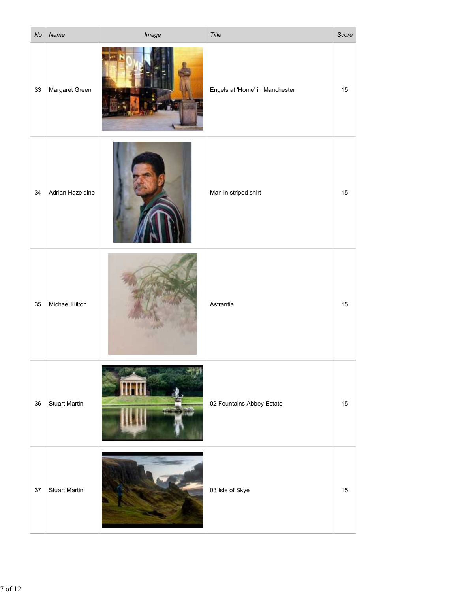| $\mathsf{No}$ | Name                 | Image | Title                          | Score |
|---------------|----------------------|-------|--------------------------------|-------|
| 33            | Margaret Green       |       | Engels at 'Home' in Manchester | 15    |
| 34            | Adrian Hazeldine     |       | Man in striped shirt           | 15    |
|               |                      |       |                                |       |
|               |                      |       |                                |       |
| 35            | Michael Hilton       |       | Astrantia                      | 15    |
| 36            | <b>Stuart Martin</b> |       | 02 Fountains Abbey Estate      | 15    |
|               |                      |       |                                |       |
| $37\,$        | <b>Stuart Martin</b> |       | 03 Isle of Skye                | 15    |
|               |                      |       |                                |       |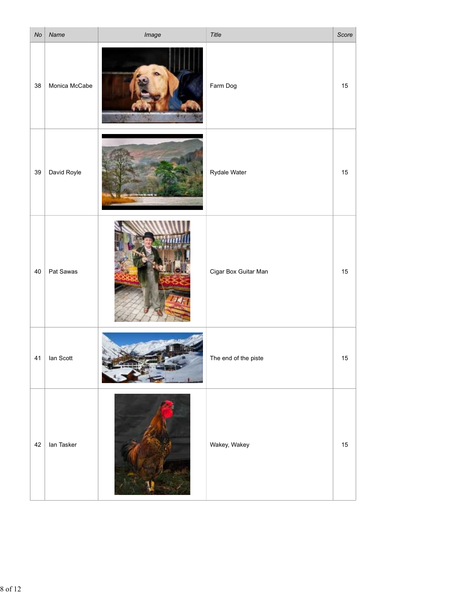| No | Name           | Image | Title                | Score |
|----|----------------|-------|----------------------|-------|
| 38 | Monica McCabe  |       | Farm Dog             | 15    |
|    | 39 David Royle |       | Rydale Water         | 15    |
| 40 | Pat Sawas      |       | Cigar Box Guitar Man | 15    |
| 41 | lan Scott      |       | The end of the piste | 15    |
| 42 | lan Tasker     |       | Wakey, Wakey         | 15    |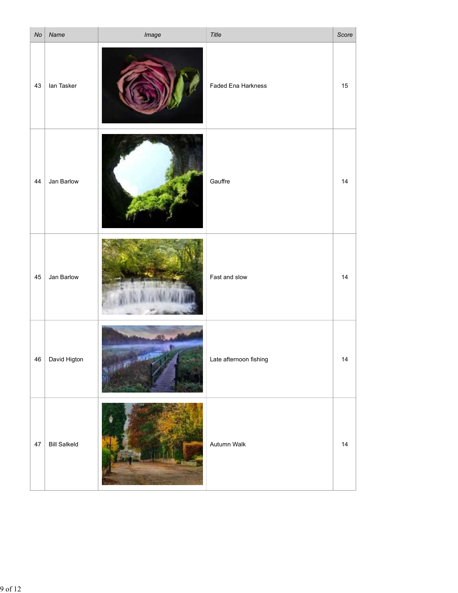| No | Name                | Image                | Title                  | Score |
|----|---------------------|----------------------|------------------------|-------|
| 43 | lan Tasker          |                      | Faded Ena Harkness     | 15    |
| 44 | Jan Barlow          |                      | Gauffre                | 14    |
| 45 | Jan Barlow          |                      | Fast and slow          | 14    |
|    | 46   David Higton   | <b>All And Store</b> | Late afternoon fishing | 14    |
| 47 | <b>Bill Salkeld</b> |                      | Autumn Walk            | 14    |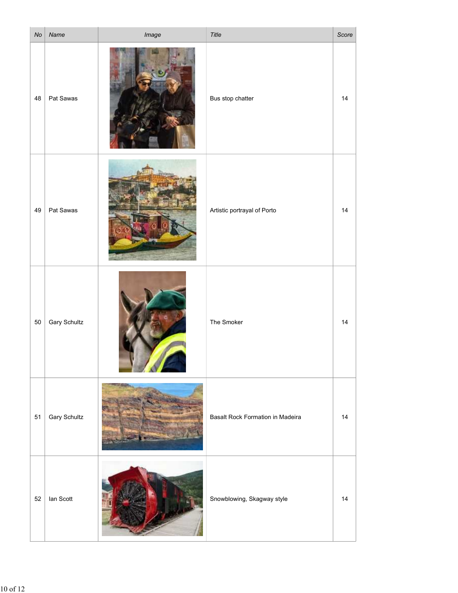| $\mathsf{No}$ | Name                | Image      | Title                            | Score |
|---------------|---------------------|------------|----------------------------------|-------|
| 48            | Pat Sawas           |            | Bus stop chatter                 | 14    |
| 49            | Pat Sawas           | $\sqrt{2}$ | Artistic portrayal of Porto      | 14    |
| 50            | <b>Gary Schultz</b> |            | The Smoker                       | 14    |
| 51            | <b>Gary Schultz</b> |            | Basalt Rock Formation in Madeira | 14    |
| 52            | lan Scott           |            | Snowblowing, Skagway style       | 14    |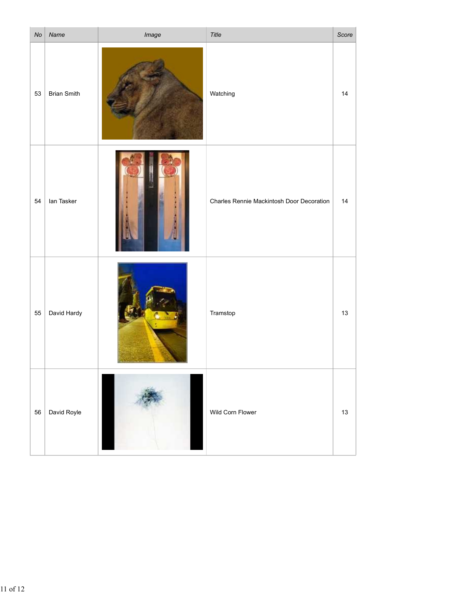| No | Name               | Image | Title                                     | Score |
|----|--------------------|-------|-------------------------------------------|-------|
| 53 | <b>Brian Smith</b> |       | Watching                                  | 14    |
| 54 | lan Tasker         |       | Charles Rennie Mackintosh Door Decoration | 14    |
| 55 | David Hardy        |       | Tramstop                                  | 13    |
| 56 | David Royle        |       | Wild Corn Flower                          | 13    |